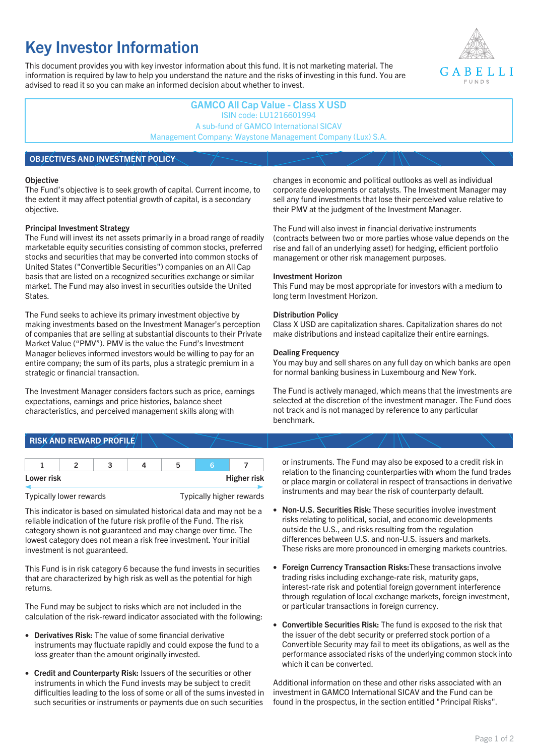# **Key Investor Information**

This document provides you with key investor information about this fund. It is not marketing material. The information is required by law to help you understand the nature and the risks of investing in this fund. You are advised to read it so you can make an informed decision about whether to invest.



## **GAMCO All Cap Value - Class X USD** ISIN code: LU1216601994 A sub-fund of GAMCO International SICAV Management Company: Waystone Management Company (Lux) S.A.

## **OBJECTIVES AND INVESTMENT POLICY**

#### **Objective**

The Fund's objective is to seek growth of capital. Current income, to the extent it may affect potential growth of capital, is a secondary objective.

#### **Principal Investment Strategy**

The Fund will invest its net assets primarily in a broad range of readily marketable equity securities consisting of common stocks, preferred stocks and securities that may be converted into common stocks of United States ("Convertible Securities") companies on an All Cap basis that are listed on a recognized securities exchange or similar market. The Fund may also invest in securities outside the United States.

The Fund seeks to achieve its primary investment objective by making investments based on the Investment Manager's perception of companies that are selling at substantial discounts to their Private Market Value ("PMV"). PMV is the value the Fund's Investment Manager believes informed investors would be willing to pay for an entire company; the sum of its parts, plus a strategic premium in a strategic or financial transaction.

The Investment Manager considers factors such as price, earnings expectations, earnings and price histories, balance sheet characteristics, and perceived management skills along with

#### changes in economic and political outlooks as well as individual corporate developments or catalysts. The Investment Manager may sell any fund investments that lose their perceived value relative to their PMV at the judgment of the Investment Manager.

The Fund will also invest in financial derivative instruments (contracts between two or more parties whose value depends on the rise and fall of an underlying asset) for hedging, efficient portfolio management or other risk management purposes.

#### **Investment Horizon**

This Fund may be most appropriate for investors with a medium to long term Investment Horizon.

#### **Distribution Policy**

Class X USD are capitalization shares. Capitalization shares do not make distributions and instead capitalize their entire earnings.

#### **Dealing Frequency**

You may buy and sell shares on any full day on which banks are open for normal banking business in Luxembourg and New York.

The Fund is actively managed, which means that the investments are selected at the discretion of the investment manager. The Fund does not track and is not managed by reference to any particular benchmark.

# **RISK AND REWARD PROFILE**

| Lower risk |  |  | <b>Higher risk</b> |
|------------|--|--|--------------------|

Typically lower rewards Typically higher rewards

This indicator is based on simulated historical data and may not be a reliable indication of the future risk profile of the Fund. The risk category shown is not guaranteed and may change over time. The lowest category does not mean a risk free investment. Your initial investment is not guaranteed.

This Fund is in risk category 6 because the fund invests in securities that are characterized by high risk as well as the potential for high returns.

The Fund may be subject to risks which are not included in the calculation of the risk-reward indicator associated with the following:

- **Derivatives Risk:** The value of some financial derivative instruments may fluctuate rapidly and could expose the fund to a loss greater than the amount originally invested.
- **Credit and Counterparty Risk:** Issuers of the securities or other instruments in which the Fund invests may be subject to credit difficulties leading to the loss of some or all of the sums invested in such securities or instruments or payments due on such securities

or instruments. The Fund may also be exposed to a credit risk in relation to the financing counterparties with whom the fund trades or place margin or collateral in respect of transactions in derivative instruments and may bear the risk of counterparty default.

- **Non-U.S. Securities Risk:** These securities involve investment risks relating to political, social, and economic developments outside the U.S., and risks resulting from the regulation differences between U.S. and non-U.S. issuers and markets. These risks are more pronounced in emerging markets countries.
- **Foreign Currency Transaction Risks:**These transactions involve trading risks including exchange-rate risk, maturity gaps, interest-rate risk and potential foreign government interference through regulation of local exchange markets, foreign investment, or particular transactions in foreign currency.
- **Convertible Securities Risk:** The fund is exposed to the risk that the issuer of the debt security or preferred stock portion of a Convertible Security may fail to meet its obligations, as well as the performance associated risks of the underlying common stock into which it can be converted.

Additional information on these and other risks associated with an investment in GAMCO International SICAV and the Fund can be found in the prospectus, in the section entitled "Principal Risks".